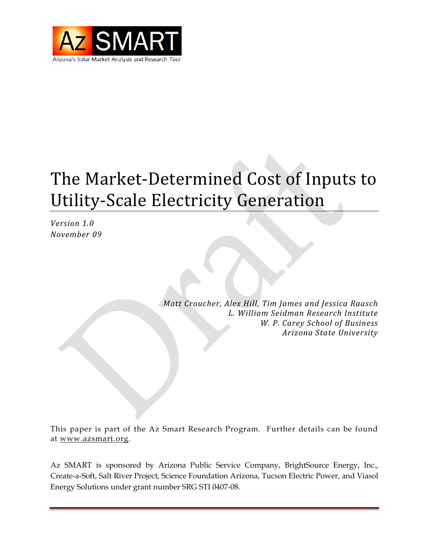

# The Market-Determined Cost of Inputs to Utility-Scale Electricity Generation

*Version 1.0 November 09*

> *Matt Croucher, Alex Hill, Tim James and Jessica Raasch L. William Seidman Research Institute W. P. Carey School of Business Arizona State University*

This paper is part of the Az Smart Research Program. Further details can be found at [www.azsmart.org.](http://www.azsmart.org/)

Az SMART is sponsored by Arizona Public Service Company, BrightSource Energy, Inc., Create-a-Soft, Salt River Project, Science Foundation Arizona, Tucson Electric Power, and Viasol Energy Solutions under grant number SRG STI 0407-08.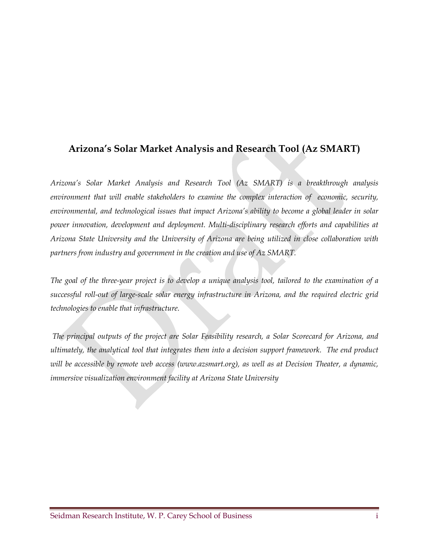## **Arizona's Solar Market Analysis and Research Tool (Az SMART)**

*Arizona's Solar Market Analysis and Research Tool (Az SMART) is a breakthrough analysis environment that will enable stakeholders to examine the complex interaction of economic, security, environmental, and technological issues that impact Arizona's ability to become a global leader in solar power innovation, development and deployment. Multi-disciplinary research efforts and capabilities at Arizona State University and the University of Arizona are being utilized in close collaboration with partners from industry and government in the creation and use of Az SMART.* 

*The goal of the three-year project is to develop a unique analysis tool, tailored to the examination of a successful roll-out of large-scale solar energy infrastructure in Arizona, and the required electric grid technologies to enable that infrastructure.* 

*The principal outputs of the project are Solar Feasibility research, a Solar Scorecard for Arizona, and ultimately, the analytical tool that integrates them into a decision support framework. The end product will be accessible by remote web access [\(www.azsmart.org\)](http://www.azsmart.org/), as well as at Decision Theater, a dynamic, immersive visualization environment facility at Arizona State University*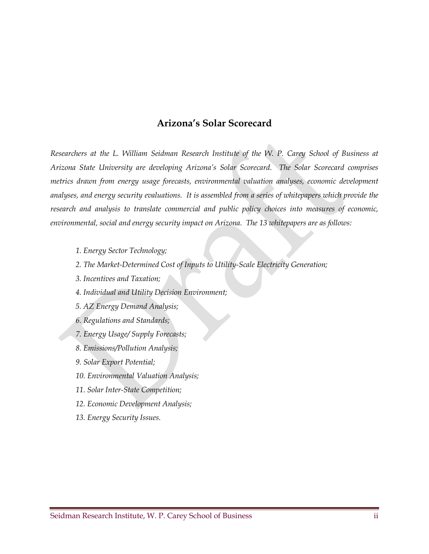#### **Arizona's Solar Scorecard**

*Researchers at the L. William Seidman Research Institute of the W. P. Carey School of Business at Arizona State University are developing Arizona's Solar Scorecard. The Solar Scorecard comprises metrics drawn from energy usage forecasts, environmental valuation analyses, economic development analyses, and energy security evaluations. It is assembled from a series of whitepapers which provide the research and analysis to translate commercial and public policy choices into measures of economic, environmental, social and energy security impact on Arizona. The 13 whitepapers are as follows:*

- *1. Energy Sector Technology;*
- *2. The Market-Determined Cost of Inputs to Utility-Scale Electricity Generation;*
- *3. Incentives and Taxation;*
- *4. Individual and Utility Decision Environment;*
- *5. AZ Energy Demand Analysis;*
- *6. Regulations and Standards;*
- *7. Energy Usage/ Supply Forecasts;*
- *8. Emissions/Pollution Analysis;*
- *9. Solar Export Potential;*
- *10. Environmental Valuation Analysis;*
- *11. Solar Inter-State Competition;*
- *12. Economic Development Analysis;*
- *13. Energy Security Issues.*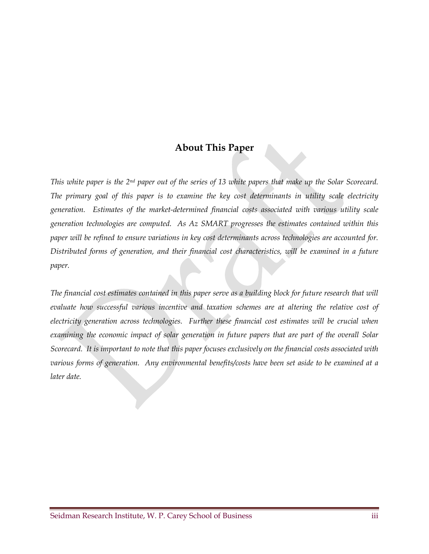## **About This Paper**

*This white paper is the 2nd paper out of the series of 13 white papers that make up the Solar Scorecard. The primary goal of this paper is to examine the key cost determinants in utility scale electricity generation. Estimates of the market-determined financial costs associated with various utility scale generation technologies are computed. As Az SMART progresses the estimates contained within this paper will be refined to ensure variations in key cost determinants across technologies are accounted for. Distributed forms of generation, and their financial cost characteristics, will be examined in a future paper.*

*The financial cost estimates contained in this paper serve as a building block for future research that will evaluate how successful various incentive and taxation schemes are at altering the relative cost of electricity generation across technologies. Further these financial cost estimates will be crucial when examining the economic impact of solar generation in future papers that are part of the overall Solar Scorecard. It is important to note that this paper focuses exclusively on the financial costs associated with various forms of generation. Any environmental benefits/costs have been set aside to be examined at a later date.*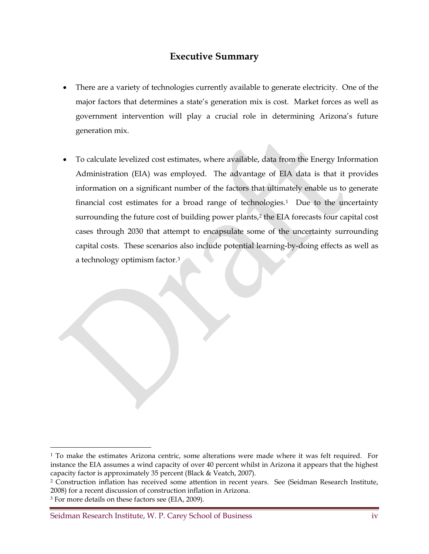## **Executive Summary**

- There are a variety of technologies currently available to generate electricity. One of the major factors that determines a state's generation mix is cost. Market forces as well as government intervention will play a crucial role in determining Arizona's future generation mix.
- To calculate levelized cost estimates, where available, data from the Energy Information Administration (EIA) was employed. The advantage of EIA data is that it provides information on a significant number of the factors that ultimately enable us to generate financial cost estimates for a broad range of technologies.[1](#page-4-0) Due to the uncertainty surrounding the future cost of building power plants,<sup>[2](#page-4-1)</sup> the EIA forecasts four capital cost cases through 2030 that attempt to encapsulate some of the uncertainty surrounding capital costs. These scenarios also include potential learning-by-doing effects as well as a technology optimism factor.[3](#page-4-2)

<span id="page-4-0"></span> <sup>1</sup> To make the estimates Arizona centric, some alterations were made where it was felt required. For instance the EIA assumes a wind capacity of over 40 percent whilst in Arizona it appears that the highest capacity factor is approximately 35 percent (Black & Veatch, 2007).

<span id="page-4-1"></span><sup>2</sup> Construction inflation has received some attention in recent years. See (Seidman Research Institute, 2008) for a recent discussion of construction inflation in Arizona.

<span id="page-4-2"></span><sup>3</sup> For more details on these factors see (EIA, 2009).

Seidman Research Institute, W. P. Carey School of Business iv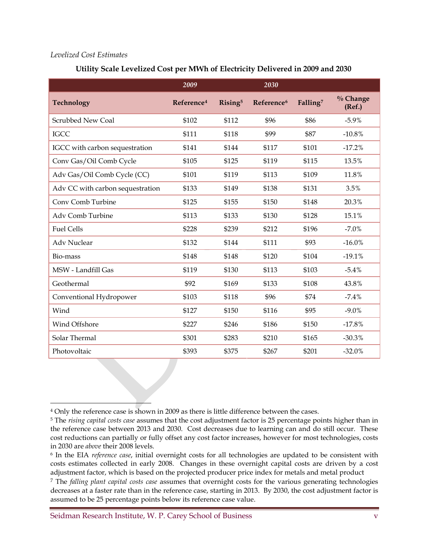#### *Levelized Cost Estimates*

|                                  | 2009                   |                     | 2030                   |                      |                       |
|----------------------------------|------------------------|---------------------|------------------------|----------------------|-----------------------|
| <b>Technology</b>                | Reference <sup>4</sup> | Rising <sup>5</sup> | Reference <sup>6</sup> | Falling <sup>7</sup> | $\%$ Change<br>(Ref.) |
| Scrubbed New Coal                | \$102                  | \$112               | \$96                   | \$86                 | $-5.9%$               |
| <b>IGCC</b>                      | \$111                  | \$118               | \$99                   | \$87                 | $-10.8%$              |
| IGCC with carbon sequestration   | \$141                  | \$144               | \$117                  | \$101                | $-17.2%$              |
| Conv Gas/Oil Comb Cycle          | \$105                  | \$125               | \$119                  | \$115                | 13.5%                 |
| Adv Gas/Oil Comb Cycle (CC)      | \$101                  | \$119               | \$113                  | \$109                | 11.8%                 |
| Adv CC with carbon sequestration | \$133                  | \$149               | \$138                  | \$131                | 3.5%                  |
| Conv Comb Turbine                | \$125                  | \$155               | \$150                  | \$148                | 20.3%                 |
| Adv Comb Turbine                 | \$113                  | \$133               | \$130                  | \$128                | 15.1%                 |
| <b>Fuel Cells</b>                | \$228                  | \$239               | \$212                  | \$196                | $-7.0%$               |
| <b>Adv Nuclear</b>               | \$132                  | \$144               | \$111                  | \$93                 | $-16.0%$              |
| Bio-mass                         | \$148                  | \$148               | \$120                  | \$104                | $-19.1%$              |
| MSW - Landfill Gas               | \$119                  | \$130               | \$113                  | \$103                | $-5.4%$               |
| Geothermal                       | \$92                   | \$169               | \$133                  | \$108                | 43.8%                 |
| Conventional Hydropower          | \$103                  | \$118               | \$96                   | \$74                 | $-7.4%$               |
| Wind                             | \$127                  | \$150               | \$116                  | \$95                 | $-9.0\%$              |
| Wind Offshore                    | \$227                  | \$246               | \$186                  | \$150                | $-17.8%$              |
| Solar Thermal                    | \$301                  | \$283               | \$210                  | \$165                | $-30.3%$              |
| Photovoltaic                     | \$393                  | \$375               | \$267                  | \$201                | $-32.0%$              |

#### **Utility Scale Levelized Cost per MWh of Electricity Delivered in 2009 and 2030**

<span id="page-5-0"></span> <sup>4</sup> Only the reference case is shown in 2009 as there is little difference between the cases.

<span id="page-5-1"></span><sup>5</sup> The *rising capital costs case* assumes that the cost adjustment factor is 25 percentage points higher than in the reference case between 2013 and 2030. Cost decreases due to learning can and do still occur. These cost reductions can partially or fully offset any cost factor increases, however for most technologies, costs in 2030 are *above* their 2008 levels.

<span id="page-5-2"></span><sup>6</sup> In the EIA *reference case*, initial overnight costs for all technologies are updated to be consistent with costs estimates collected in early 2008. Changes in these overnight capital costs are driven by a cost adjustment factor, which is based on the projected producer price index for metals and metal product

<span id="page-5-3"></span><sup>7</sup> The *falling plant capital costs case* assumes that overnight costs for the various generating technologies decreases at a faster rate than in the reference case, starting in 2013. By 2030, the cost adjustment factor is assumed to be 25 percentage points below its reference case value.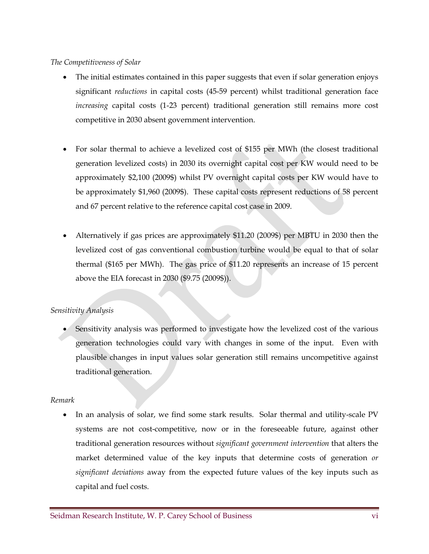*The Competitiveness of Solar*

- The initial estimates contained in this paper suggests that even if solar generation enjoys significant *reductions* in capital costs (45-59 percent) whilst traditional generation face *increasing* capital costs (1-23 percent) traditional generation still remains more cost competitive in 2030 absent government intervention.
- For solar thermal to achieve a levelized cost of \$155 per MWh (the closest traditional generation levelized costs) in 2030 its overnight capital cost per KW would need to be approximately \$2,100 (2009\$) whilst PV overnight capital costs per KW would have to be approximately \$1,960 (2009\$). These capital costs represent reductions of 58 percent and 67 percent relative to the reference capital cost case in 2009.
- Alternatively if gas prices are approximately \$11.20 (2009\$) per MBTU in 2030 then the levelized cost of gas conventional combustion turbine would be equal to that of solar thermal (\$165 per MWh). The gas price of \$11.20 represents an increase of 15 percent above the EIA forecast in 2030 (\$9.75 (2009\$)).

#### *Sensitivity Analysis*

• Sensitivity analysis was performed to investigate how the levelized cost of the various generation technologies could vary with changes in some of the input. Even with plausible changes in input values solar generation still remains uncompetitive against traditional generation.

#### *Remark*

• In an analysis of solar, we find some stark results. Solar thermal and utility-scale PV systems are not cost-competitive, now or in the foreseeable future, against other traditional generation resources without *significant government intervention* that alters the market determined value of the key inputs that determine costs of generation *or significant deviations* away from the expected future values of the key inputs such as capital and fuel costs.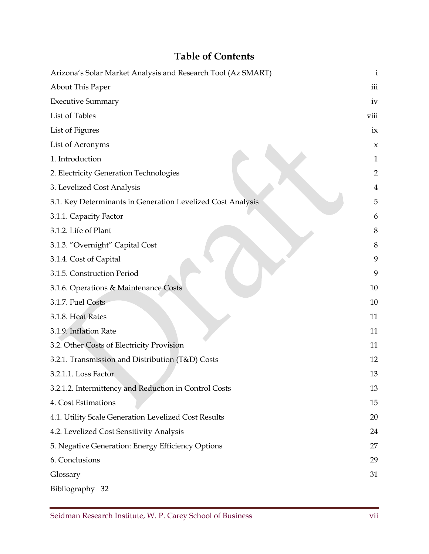## **Table of Contents**

| Arizona's Solar Market Analysis and Research Tool (Az SMART) | i                         |
|--------------------------------------------------------------|---------------------------|
| About This Paper                                             | iii                       |
| <b>Executive Summary</b>                                     | iv                        |
| List of Tables                                               | viii                      |
| List of Figures                                              | ix                        |
| List of Acronyms                                             | $\boldsymbol{\mathsf{x}}$ |
| 1. Introduction                                              | $\mathbf{1}$              |
| 2. Electricity Generation Technologies                       | $\overline{2}$            |
| 3. Levelized Cost Analysis                                   | 4                         |
| 3.1. Key Determinants in Generation Levelized Cost Analysis  | 5                         |
| 3.1.1. Capacity Factor                                       | 6                         |
| 3.1.2. Life of Plant                                         | 8                         |
| 3.1.3. "Overnight" Capital Cost                              | 8                         |
| 3.1.4. Cost of Capital                                       | 9                         |
| 3.1.5. Construction Period                                   | 9                         |
| 3.1.6. Operations & Maintenance Costs                        | 10                        |
| 3.1.7. Fuel Costs                                            | 10                        |
| 3.1.8. Heat Rates                                            | 11                        |
| 3.1.9. Inflation Rate                                        | 11                        |
| 3.2. Other Costs of Electricity Provision                    | 11                        |
| 3.2.1. Transmission and Distribution (T&D) Costs             | 12                        |
| 3.2.1.1. Loss Factor                                         | 13                        |
| 3.2.1.2. Intermittency and Reduction in Control Costs        | 13                        |
| 4. Cost Estimations                                          | 15                        |
| 4.1. Utility Scale Generation Levelized Cost Results         | 20                        |
| 4.2. Levelized Cost Sensitivity Analysis                     | 24                        |
| 5. Negative Generation: Energy Efficiency Options            | 27                        |
| 6. Conclusions                                               | 29                        |
| Glossary                                                     | 31                        |
| Bibliography 32                                              |                           |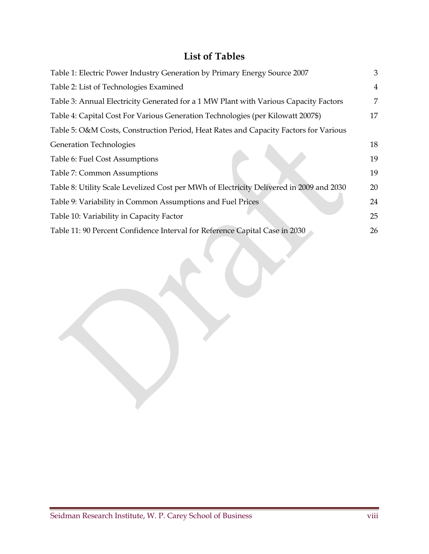## **List of Tables**

| Table 1: Electric Power Industry Generation by Primary Energy Source 2007               | 3              |
|-----------------------------------------------------------------------------------------|----------------|
| Table 2: List of Technologies Examined                                                  | $\overline{4}$ |
| Table 3: Annual Electricity Generated for a 1 MW Plant with Various Capacity Factors    | 7              |
| Table 4: Capital Cost For Various Generation Technologies (per Kilowatt 2007\$)         | 17             |
| Table 5: O&M Costs, Construction Period, Heat Rates and Capacity Factors for Various    |                |
| <b>Generation Technologies</b>                                                          | 18             |
| Table 6: Fuel Cost Assumptions                                                          | 19             |
| Table 7: Common Assumptions                                                             | 19             |
| Table 8: Utility Scale Levelized Cost per MWh of Electricity Delivered in 2009 and 2030 | 20             |
| Table 9: Variability in Common Assumptions and Fuel Prices                              | 24             |
| Table 10: Variability in Capacity Factor                                                | 25             |
| Table 11: 90 Percent Confidence Interval for Reference Capital Case in 2030             | 26             |

J.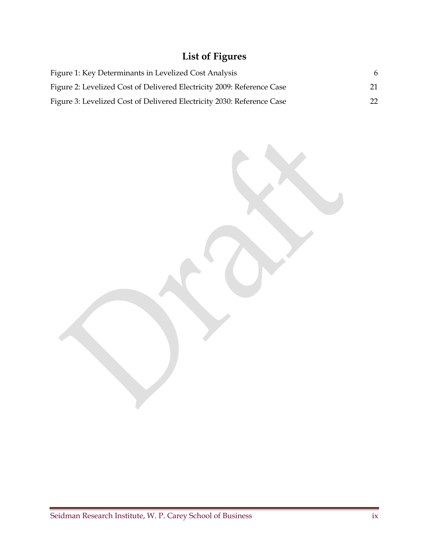## **List of Figures**

| Figure 1: Key Determinants in Levelized Cost Analysis                  | 6   |
|------------------------------------------------------------------------|-----|
| Figure 2: Levelized Cost of Delivered Electricity 2009: Reference Case | 21. |
| Figure 3: Levelized Cost of Delivered Electricity 2030: Reference Case | 22  |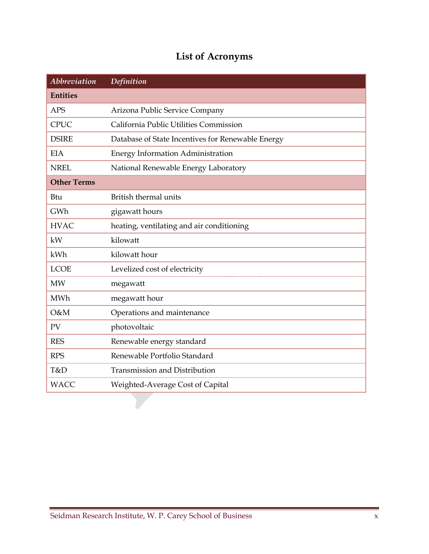## **List of Acronyms**

| Abbreviation       | Definition                                        |
|--------------------|---------------------------------------------------|
| <b>Entities</b>    |                                                   |
| <b>APS</b>         | Arizona Public Service Company                    |
| <b>CPUC</b>        | California Public Utilities Commission            |
| <b>DSIRE</b>       | Database of State Incentives for Renewable Energy |
| <b>EIA</b>         | <b>Energy Information Administration</b>          |
| <b>NREL</b>        | National Renewable Energy Laboratory              |
| <b>Other Terms</b> |                                                   |
| Btu                | British thermal units                             |
| GWh                | gigawatt hours                                    |
| <b>HVAC</b>        | heating, ventilating and air conditioning         |
| kW                 | kilowatt                                          |
| kWh                | kilowatt hour                                     |
| <b>LCOE</b>        | Levelized cost of electricity                     |
| <b>MW</b>          | megawatt                                          |
| <b>MWh</b>         | megawatt hour                                     |
| O&M                | Operations and maintenance                        |
| PV                 | photovoltaic                                      |
| <b>RES</b>         | Renewable energy standard                         |
| <b>RPS</b>         | Renewable Portfolio Standard                      |
| T&D                | <b>Transmission and Distribution</b>              |
| <b>WACC</b>        | Weighted-Average Cost of Capital                  |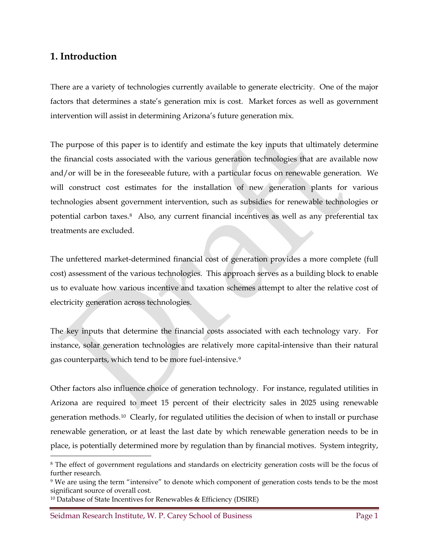### **1. Introduction**

There are a variety of technologies currently available to generate electricity. One of the major factors that determines a state's generation mix is cost. Market forces as well as government intervention will assist in determining Arizona's future generation mix.

The purpose of this paper is to identify and estimate the key inputs that ultimately determine the financial costs associated with the various generation technologies that are available now and/or will be in the foreseeable future, with a particular focus on renewable generation. We will construct cost estimates for the installation of new generation plants for various technologies absent government intervention, such as subsidies for renewable technologies or potential carbon taxes.[8](#page-11-0) Also, any current financial incentives as well as any preferential tax treatments are excluded.

The unfettered market-determined financial cost of generation provides a more complete (full cost) assessment of the various technologies. This approach serves as a building block to enable us to evaluate how various incentive and taxation schemes attempt to alter the relative cost of electricity generation across technologies.

The key inputs that determine the financial costs associated with each technology vary. For instance, solar generation technologies are relatively more capital-intensive than their natural gas counterparts, which tend to be more fuel-intensive.[9](#page-11-1) 

Other factors also influence choice of generation technology. For instance, regulated utilities in Arizona are required to meet 15 percent of their electricity sales in 2025 using renewable generation methods.[10](#page-11-2) Clearly, for regulated utilities the decision of when to install or purchase renewable generation, or at least the last date by which renewable generation needs to be in place, is potentially determined more by regulation than by financial motives. System integrity,

Seidman Research Institute, W. P. Carey School of Business **Page 1** Page 1

<span id="page-11-0"></span> <sup>8</sup> The effect of government regulations and standards on electricity generation costs will be the focus of further research.

<span id="page-11-1"></span><sup>9</sup> We are using the term "intensive" to denote which component of generation costs tends to be the most significant source of overall cost.

<span id="page-11-2"></span><sup>10</sup> Database of State Incentives for Renewables & Efficiency (DSIRE)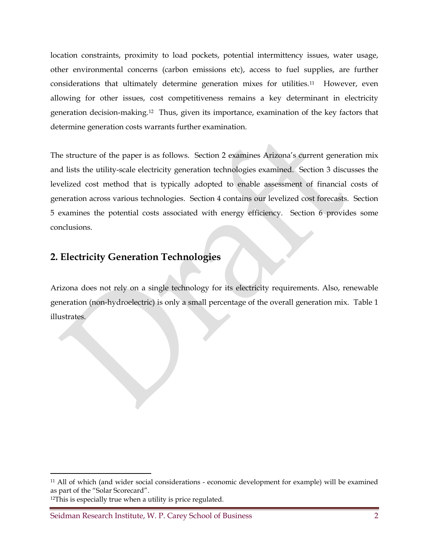location constraints, proximity to load pockets, potential intermittency issues, water usage, other environmental concerns (carbon emissions etc), access to fuel supplies, are further considerations that ultimately determine generation mixes for utilities.[11](#page-12-0) However, even allowing for other issues, cost competitiveness remains a key determinant in electricity generation decision-making.[12](#page-12-1) Thus, given its importance, examination of the key factors that determine generation costs warrants further examination.

The structure of the paper is as follows. Section 2 examines Arizona's current generation mix and lists the utility-scale electricity generation technologies examined. Section 3 discusses the levelized cost method that is typically adopted to enable assessment of financial costs of generation across various technologies. Section 4 contains our levelized cost forecasts. Section 5 examines the potential costs associated with energy efficiency. Section 6 provides some conclusions.

## **2. Electricity Generation Technologies**

Arizona does not rely on a single technology for its electricity requirements. Also, renewable generation (non-hydroelectric) is only a small percentage of the overall generation mix. Table 1 illustrates.

<span id="page-12-0"></span> <sup>11</sup> All of which (and wider social considerations - economic development for example) will be examined as part of the "Solar Scorecard".

<span id="page-12-1"></span><sup>&</sup>lt;sup>12</sup>This is especially true when a utility is price regulated.

Seidman Research Institute, W. P. Carey School of Business 2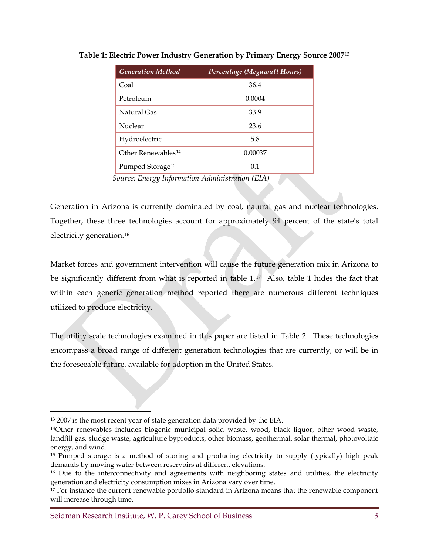| <b>Generation Method</b>                        | Percentage (Megawatt Hours) |
|-------------------------------------------------|-----------------------------|
| Coal                                            | 36.4                        |
| Petroleum                                       | 0.0004                      |
| Natural Gas                                     | 33.9                        |
| Nuclear                                         | 23.6                        |
| Hydroelectric                                   | 5.8                         |
| Other Renewables <sup>14</sup>                  | 0.00037                     |
| Pumped Storage <sup>15</sup>                    | 0.1                         |
| Source: Energy Information Administration (EIA) |                             |

**Table 1: Electric Power Industry Generation by Primary Energy Source 2007**[13](#page-13-0)

Generation in Arizona is currently dominated by coal, natural gas and nuclear technologies. Together, these three technologies account for approximately 94 percent of the state's total electricity generation.[16](#page-13-3)

Market forces and government intervention will cause the future generation mix in Arizona to be significantly different from what is reported in table 1.<sup>[17](#page-13-4)</sup> Also, table 1 hides the fact that within each generic generation method reported there are numerous different techniques utilized to produce electricity.

The utility scale technologies examined in this paper are listed in Table 2. These technologies encompass a broad range of different generation technologies that are currently, or will be in the foreseeable future. available for adoption in the United States.

<span id="page-13-0"></span><sup>&</sup>lt;sup>13</sup> 2007 is the most recent year of state generation data provided by the EIA.

<span id="page-13-1"></span><sup>14</sup>Other renewables includes biogenic municipal solid waste, wood, black liquor, other wood waste, landfill gas, sludge waste, agriculture byproducts, other biomass, geothermal, solar thermal, photovoltaic energy, and wind.

<span id="page-13-2"></span><sup>&</sup>lt;sup>15</sup> Pumped storage is a method of storing and producing electricity to supply (typically) high peak demands by moving water between reservoirs at different elevations.

<span id="page-13-3"></span><sup>&</sup>lt;sup>16</sup> Due to the interconnectivity and agreements with neighboring states and utilities, the electricity generation and electricity consumption mixes in Arizona vary over time.

<span id="page-13-4"></span><sup>&</sup>lt;sup>17</sup> For instance the current renewable portfolio standard in Arizona means that the renewable component will increase through time.

Seidman Research Institute, W. P. Carey School of Business 3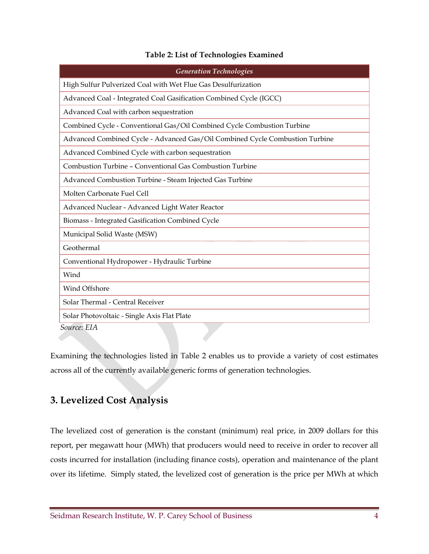#### **Table 2: List of Technologies Examined**

| <b>Generation Technologies</b>                                               |
|------------------------------------------------------------------------------|
| High Sulfur Pulverized Coal with Wet Flue Gas Desulfurization                |
| Advanced Coal - Integrated Coal Gasification Combined Cycle (IGCC)           |
| Advanced Coal with carbon sequestration                                      |
| Combined Cycle - Conventional Gas/Oil Combined Cycle Combustion Turbine      |
| Advanced Combined Cycle - Advanced Gas/Oil Combined Cycle Combustion Turbine |
| Advanced Combined Cycle with carbon sequestration                            |
| Combustion Turbine - Conventional Gas Combustion Turbine                     |
| Advanced Combustion Turbine - Steam Injected Gas Turbine                     |
| Molten Carbonate Fuel Cell                                                   |
| Advanced Nuclear - Advanced Light Water Reactor                              |
| Biomass - Integrated Gasification Combined Cycle                             |
| Municipal Solid Waste (MSW)                                                  |
| Geothermal                                                                   |
| Conventional Hydropower - Hydraulic Turbine                                  |
| Wind                                                                         |
| Wind Offshore                                                                |
| Solar Thermal - Central Receiver                                             |
| Solar Photovoltaic - Single Axis Flat Plate                                  |
| Source: EIA                                                                  |

Examining the technologies listed in Table 2 enables us to provide a variety of cost estimates across all of the currently available generic forms of generation technologies.

## **3. Levelized Cost Analysis**

The levelized cost of generation is the constant (minimum) real price, in 2009 dollars for this report, per megawatt hour (MWh) that producers would need to receive in order to recover all costs incurred for installation (including finance costs), operation and maintenance of the plant over its lifetime. Simply stated, the levelized cost of generation is the price per MWh at which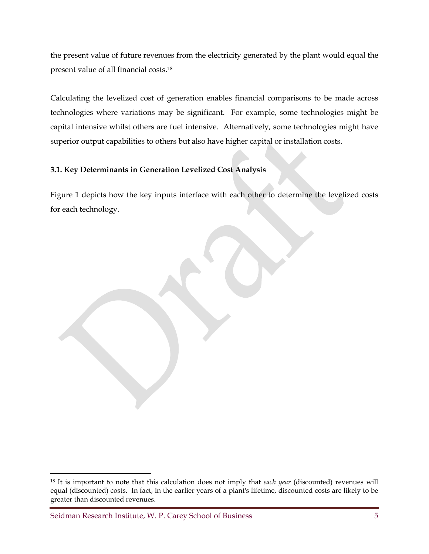the present value of future revenues from the electricity generated by the plant would equal the present value of all financial costs.[18](#page-15-0)

Calculating the levelized cost of generation enables financial comparisons to be made across technologies where variations may be significant. For example, some technologies might be capital intensive whilst others are fuel intensive. Alternatively, some technologies might have superior output capabilities to others but also have higher capital or installation costs.

#### **3.1. Key Determinants in Generation Levelized Cost Analysis**

Figure 1 depicts how the key inputs interface with each other to determine the levelized costs for each technology.

<span id="page-15-0"></span> <sup>18</sup> It is important to note that this calculation does not imply that *each year* (discounted) revenues will equal (discounted) costs. In fact, in the earlier years of a plant's lifetime, discounted costs are likely to be greater than discounted revenues.

Seidman Research Institute, W. P. Carey School of Business 5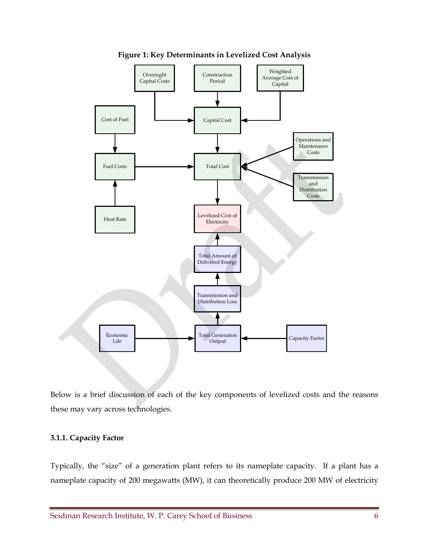<span id="page-16-0"></span>

**Figure 1: Key Determinants in Levelized Cost Analysis**

Below is a brief discussion of each of the key components of levelized costs and the reasons these may vary across technologies.

#### **3.1.1. Capacity Factor**

Typically, the "size" of a generation plant refers to its nameplate capacity. If a plant has a nameplate capacity of 200 megawatts (MW), it can theoretically produce 200 MW of electricity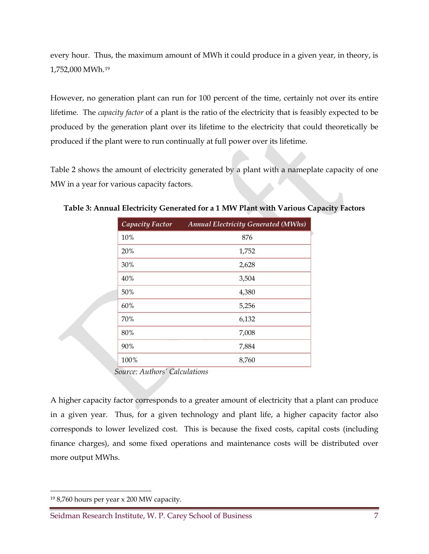every hour. Thus, the maximum amount of MWh it could produce in a given year, in theory, is 1,752,000 MWh.[19](#page-17-0)

However, no generation plant can run for 100 percent of the time, certainly not over its entire lifetime. The *capacity factor* of a plant is the ratio of the electricity that is feasibly expected to be produced by the generation plant over its lifetime to the electricity that could theoretically be produced if the plant were to run continually at full power over its lifetime.

Table 2 shows the amount of electricity generated by a plant with a nameplate capacity of one MW in a year for various capacity factors.

| <b>Capacity Factor</b> | <b>Annual Electricity Generated (MWhs)</b> |
|------------------------|--------------------------------------------|
| 10%                    | 876                                        |
| 20%                    | 1,752                                      |
| 30%                    | 2,628                                      |
| 40%                    | 3,504                                      |
| 50%                    | 4,380                                      |
| 60%                    | 5,256                                      |
| 70%                    | 6,132                                      |
| 80%                    | 7,008                                      |
| 90%                    | 7,884                                      |
| 100%                   | 8,760                                      |

**Table 3: Annual Electricity Generated for a 1 MW Plant with Various Capacity Factors**

*Source: Authors' Calculations*

A higher capacity factor corresponds to a greater amount of electricity that a plant can produce in a given year. Thus, for a given technology and plant life, a higher capacity factor also corresponds to lower levelized cost. This is because the fixed costs, capital costs (including finance charges), and some fixed operations and maintenance costs will be distributed over more output MWhs.

<span id="page-17-0"></span> <sup>19</sup> 8,760 hours per year x 200 MW capacity.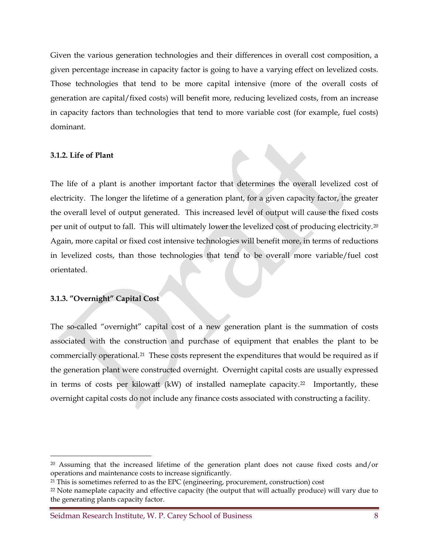Given the various generation technologies and their differences in overall cost composition, a given percentage increase in capacity factor is going to have a varying effect on levelized costs. Those technologies that tend to be more capital intensive (more of the overall costs of generation are capital/fixed costs) will benefit more, reducing levelized costs, from an increase in capacity factors than technologies that tend to more variable cost (for example, fuel costs) dominant.

#### **3.1.2. Life of Plant**

The life of a plant is another important factor that determines the overall levelized cost of electricity. The longer the lifetime of a generation plant, for a given capacity factor, the greater the overall level of output generated. This increased level of output will cause the fixed costs per unit of output to fall. This will ultimately lower the levelized cost of producing electricity.[20](#page-18-0)  Again, more capital or fixed cost intensive technologies will benefit more, in terms of reductions in levelized costs, than those technologies that tend to be overall more variable/fuel cost orientated.

#### **3.1.3. "Overnight" Capital Cost**

The so-called "overnight" capital cost of a new generation plant is the summation of costs associated with the construction and purchase of equipment that enables the plant to be commercially operational.[21](#page-18-1) These costs represent the expenditures that would be required as if the generation plant were constructed overnight. Overnight capital costs are usually expressed in terms of costs per kilowatt  $(kW)$  of installed nameplate capacity.<sup>22</sup> Importantly, these overnight capital costs do not include any finance costs associated with constructing a facility.

<span id="page-18-0"></span> <sup>20</sup> Assuming that the increased lifetime of the generation plant does not cause fixed costs and/or operations and maintenance costs to increase significantly.

<span id="page-18-1"></span> $21$  This is sometimes referred to as the EPC (engineering, procurement, construction) cost

<span id="page-18-2"></span><sup>22</sup> Note nameplate capacity and effective capacity (the output that will actually produce) will vary due to the generating plants capacity factor.

Seidman Research Institute, W. P. Carey School of Business 8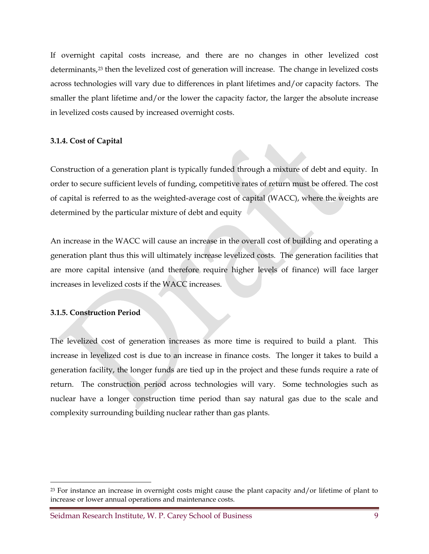If overnight capital costs increase, and there are no changes in other levelized cost determinants,<sup>[23](#page-19-0)</sup> then the levelized cost of generation will increase. The change in levelized costs across technologies will vary due to differences in plant lifetimes and/or capacity factors. The smaller the plant lifetime and/or the lower the capacity factor, the larger the absolute increase in levelized costs caused by increased overnight costs.

#### **3.1.4. Cost of Capital**

Construction of a generation plant is typically funded through a mixture of debt and equity. In order to secure sufficient levels of funding, competitive rates of return must be offered. The cost of capital is referred to as the weighted-average cost of capital (WACC), where the weights are determined by the particular mixture of debt and equity

An increase in the WACC will cause an increase in the overall cost of building and operating a generation plant thus this will ultimately increase levelized costs. The generation facilities that are more capital intensive (and therefore require higher levels of finance) will face larger increases in levelized costs if the WACC increases.

#### **3.1.5. Construction Period**

The levelized cost of generation increases as more time is required to build a plant. This increase in levelized cost is due to an increase in finance costs. The longer it takes to build a generation facility, the longer funds are tied up in the project and these funds require a rate of return. The construction period across technologies will vary. Some technologies such as nuclear have a longer construction time period than say natural gas due to the scale and complexity surrounding building nuclear rather than gas plants.

<span id="page-19-0"></span><sup>&</sup>lt;sup>23</sup> For instance an increase in overnight costs might cause the plant capacity and/or lifetime of plant to increase or lower annual operations and maintenance costs.

Seidman Research Institute, W. P. Carey School of Business 9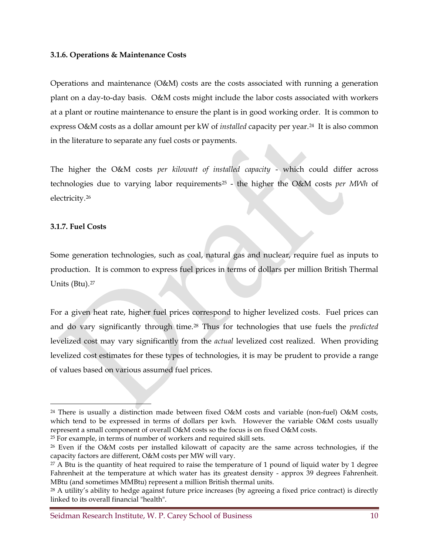#### **3.1.6. Operations & Maintenance Costs**

Operations and maintenance (O&M) costs are the costs associated with running a generation plant on a day-to-day basis. O&M costs might include the labor costs associated with workers at a plant or routine maintenance to ensure the plant is in good working order. It is common to express O&M costs as a dollar amount per kW of *installed* capacity per year[.24](#page-20-0) It is also common in the literature to separate any fuel costs or payments.

The higher the O&M costs *per kilowatt of installed capacity* - which could differ across technologies due to varying labor requirements[25](#page-20-1) - the higher the O&M costs *per MWh* of electricity.[26](#page-20-2)

#### **3.1.7. Fuel Costs**

Some generation technologies, such as coal, natural gas and nuclear, require fuel as inputs to production. It is common to express fuel prices in terms of dollars per million British Thermal Units (Btu).<sup>27</sup>

For a given heat rate, higher fuel prices correspond to higher levelized costs. Fuel prices can and do vary significantly through time[.28](#page-20-4) Thus for technologies that use fuels the *predicted* levelized cost may vary significantly from the *actual* levelized cost realized. When providing levelized cost estimates for these types of technologies, it is may be prudent to provide a range of values based on various assumed fuel prices.

<span id="page-20-0"></span> $24$  There is usually a distinction made between fixed O&M costs and variable (non-fuel) O&M costs, which tend to be expressed in terms of dollars per kwh. However the variable O&M costs usually represent a small component of overall O&M costs so the focus is on fixed O&M costs.

<span id="page-20-1"></span><sup>&</sup>lt;sup>25</sup> For example, in terms of number of workers and required skill sets.

<span id="page-20-2"></span><sup>26</sup> Even if the O&M costs per installed kilowatt of capacity are the same across technologies, if the capacity factors are different, O&M costs per MW will vary.

<span id="page-20-3"></span> $27$  A Btu is the quantity of heat required to raise the temperature of 1 pound of liquid water by 1 degree Fahrenheit at the temperature at which water has its greatest density - approx 39 degrees Fahrenheit. MBtu (and sometimes MMBtu) represent a million British thermal units.

<span id="page-20-4"></span><sup>28</sup> A utility's ability to hedge against future price increases (by agreeing a fixed price contract) is directly linked to its overall financial "health".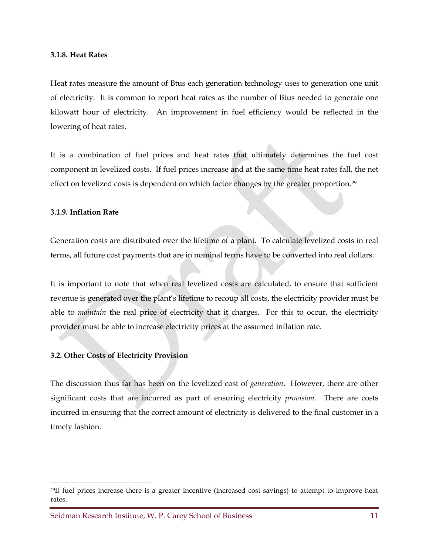#### **3.1.8. Heat Rates**

Heat rates measure the amount of Btus each generation technology uses to generation one unit of electricity. It is common to report heat rates as the number of Btus needed to generate one kilowatt hour of electricity. An improvement in fuel efficiency would be reflected in the lowering of heat rates.

It is a combination of fuel prices and heat rates that ultimately determines the fuel cost component in levelized costs. If fuel prices increase and at the same time heat rates fall, the net effect on levelized costs is dependent on which factor changes by the greater proportion.<sup>[29](#page-21-0)</sup>

#### **3.1.9. Inflation Rate**

Generation costs are distributed over the lifetime of a plant. To calculate levelized costs in real terms, all future cost payments that are in nominal terms have to be converted into real dollars.

It is important to note that when real levelized costs are calculated, to ensure that sufficient revenue is generated over the plant's lifetime to recoup all costs, the electricity provider must be able to *maintain* the real price of electricity that it charges. For this to occur, the electricity provider must be able to increase electricity prices at the assumed inflation rate.

#### **3.2. Other Costs of Electricity Provision**

The discussion thus far has been on the levelized cost of *generation*. However, there are other significant costs that are incurred as part of ensuring electricity *provision*. There are costs incurred in ensuring that the correct amount of electricity is delivered to the final customer in a timely fashion.

<span id="page-21-0"></span> <sup>29</sup>If fuel prices increase there is a greater incentive (increased cost savings) to attempt to improve heat rates.

Seidman Research Institute, W. P. Carey School of Business 11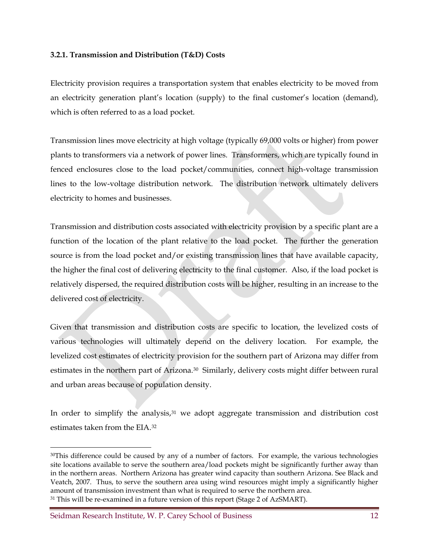#### **3.2.1. Transmission and Distribution (T&D) Costs**

Electricity provision requires a transportation system that enables electricity to be moved from an electricity generation plant's location (supply) to the final customer's location (demand), which is often referred to as a load pocket.

Transmission lines move electricity at high voltage (typically 69,000 volts or higher) from power plants to transformers via a network of power lines. Transformers, which are typically found in fenced enclosures close to the load pocket/communities, connect high-voltage transmission lines to the low-voltage distribution network. The distribution network ultimately delivers electricity to homes and businesses.

Transmission and distribution costs associated with electricity provision by a specific plant are a function of the location of the plant relative to the load pocket. The further the generation source is from the load pocket and/or existing transmission lines that have available capacity, the higher the final cost of delivering electricity to the final customer. Also, if the load pocket is relatively dispersed, the required distribution costs will be higher, resulting in an increase to the delivered cost of electricity.

Given that transmission and distribution costs are specific to location, the levelized costs of various technologies will ultimately depend on the delivery location. For example, the levelized cost estimates of electricity provision for the southern part of Arizona may differ from estimates in the northern part of Arizona.<sup>[30](#page-22-0)</sup> Similarly, delivery costs might differ between rural and urban areas because of population density.

In order to simplify the analysis,<sup>[31](#page-22-1)</sup> we adopt aggregate transmission and distribution cost estimates taken from the EIA[.32](#page-22-2)

<span id="page-22-2"></span><span id="page-22-0"></span><sup>&</sup>lt;sup>30</sup>This difference could be caused by any of a number of factors. For example, the various technologies site locations available to serve the southern area/load pockets might be significantly further away than in the northern areas. Northern Arizona has greater wind capacity than southern Arizona. See Black and Veatch, 2007. Thus, to serve the southern area using wind resources might imply a significantly higher amount of transmission investment than what is required to serve the northern area. <sup>31</sup> This will be re-examined in a future version of this report (Stage 2 of AzSMART).

<span id="page-22-1"></span>Seidman Research Institute, W. P. Carey School of Business 12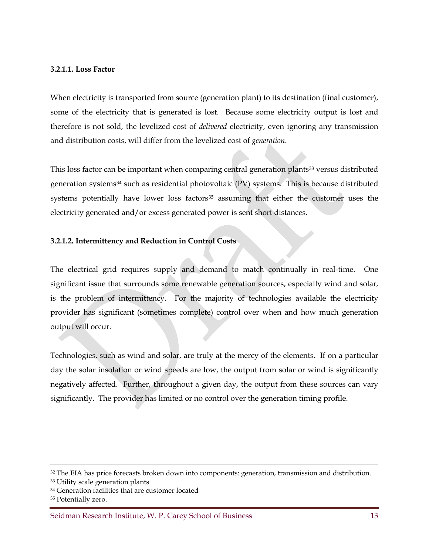#### **3.2.1.1. Loss Factor**

When electricity is transported from source (generation plant) to its destination (final customer), some of the electricity that is generated is lost. Because some electricity output is lost and therefore is not sold, the levelized cost of *delivered* electricity, even ignoring any transmission and distribution costs, will differ from the levelized cost of *generation*.

This loss factor can be important when comparing central generation plants<sup>33</sup> versus distributed generation systems<sup>[34](#page-23-1)</sup> such as residential photovoltaic (PV) systems. This is because distributed systems potentially have lower loss factors<sup>[35](#page-23-2)</sup> assuming that either the customer uses the electricity generated and/or excess generated power is sent short distances.

#### **3.2.1.2. Intermittency and Reduction in Control Costs**

The electrical grid requires supply and demand to match continually in real-time. One significant issue that surrounds some renewable generation sources, especially wind and solar, is the problem of intermittency. For the majority of technologies available the electricity provider has significant (sometimes complete) control over when and how much generation output will occur.

Technologies, such as wind and solar, are truly at the mercy of the elements. If on a particular day the solar insolation or wind speeds are low, the output from solar or wind is significantly negatively affected. Further, throughout a given day, the output from these sources can vary significantly. The provider has limited or no control over the generation timing profile.

<sup>&</sup>lt;sup>32</sup> The EIA has price forecasts broken down into components: generation, transmission and distribution.

<span id="page-23-0"></span><sup>33</sup> Utility scale generation plants

<span id="page-23-1"></span><sup>34</sup> Generation facilities that are customer located

<span id="page-23-2"></span><sup>35</sup> Potentially zero.

Seidman Research Institute, W. P. Carey School of Business 13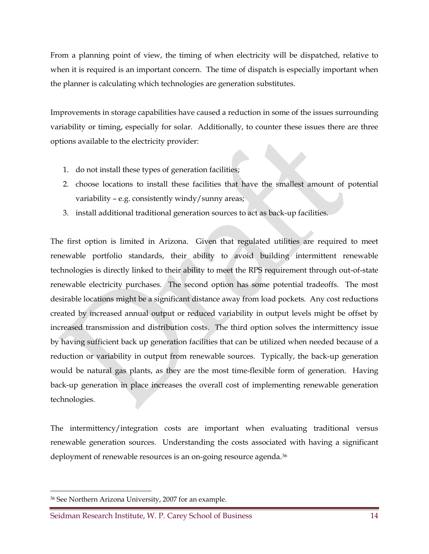From a planning point of view, the timing of when electricity will be dispatched, relative to when it is required is an important concern. The time of dispatch is especially important when the planner is calculating which technologies are generation substitutes.

Improvements in storage capabilities have caused a reduction in some of the issues surrounding variability or timing, especially for solar. Additionally, to counter these issues there are three options available to the electricity provider:

- 1. do not install these types of generation facilities;
- 2. choose locations to install these facilities that have the smallest amount of potential variability – e.g. consistently windy/sunny areas;
- 3. install additional traditional generation sources to act as back-up facilities.

The first option is limited in Arizona. Given that regulated utilities are required to meet renewable portfolio standards, their ability to avoid building intermittent renewable technologies is directly linked to their ability to meet the RPS requirement through out-of-state renewable electricity purchases. The second option has some potential tradeoffs. The most desirable locations might be a significant distance away from load pockets. Any cost reductions created by increased annual output or reduced variability in output levels might be offset by increased transmission and distribution costs. The third option solves the intermittency issue by having sufficient back up generation facilities that can be utilized when needed because of a reduction or variability in output from renewable sources. Typically, the back-up generation would be natural gas plants, as they are the most time-flexible form of generation. Having back-up generation in place increases the overall cost of implementing renewable generation technologies.

The intermittency/integration costs are important when evaluating traditional versus renewable generation sources. Understanding the costs associated with having a significant deployment of renewable resources is an on-going resource agenda.<sup>[36](#page-24-0)</sup>

<span id="page-24-0"></span> <sup>36</sup> See Northern Arizona University, 2007 for an example.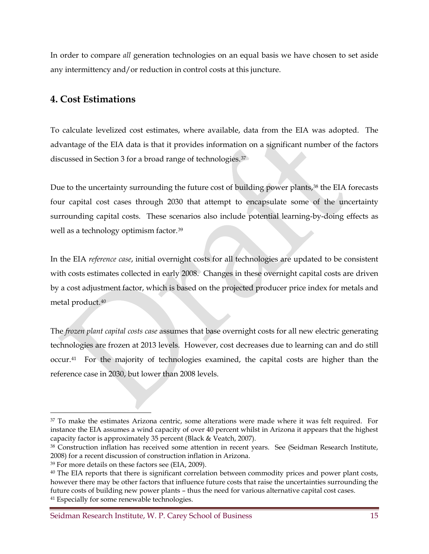In order to compare *all* generation technologies on an equal basis we have chosen to set aside any intermittency and/or reduction in control costs at this juncture.

## **4. Cost Estimations**

To calculate levelized cost estimates, where available, data from the EIA was adopted. The advantage of the EIA data is that it provides information on a significant number of the factors discussed in Section 3 for a broad range of technologies.[37](#page-25-0)

Due to the uncertainty surrounding the future cost of building power plants,<sup>[38](#page-25-1)</sup> the EIA forecasts four capital cost cases through 2030 that attempt to encapsulate some of the uncertainty surrounding capital costs. These scenarios also include potential learning-by-doing effects as well as a technology optimism factor.[39](#page-25-2)

In the EIA *reference case*, initial overnight costs for all technologies are updated to be consistent with costs estimates collected in early 2008. Changes in these overnight capital costs are driven by a cost adjustment factor, which is based on the projected producer price index for metals and metal product.[40](#page-25-3)

The *frozen plant capital costs case* assumes that base overnight costs for all new electric generating technologies are frozen at 2013 levels. However, cost decreases due to learning can and do still occur.[41](#page-25-4) For the majority of technologies examined, the capital costs are higher than the reference case in 2030, but lower than 2008 levels.

<span id="page-25-0"></span> <sup>37</sup> To make the estimates Arizona centric, some alterations were made where it was felt required. For instance the EIA assumes a wind capacity of over 40 percent whilst in Arizona it appears that the highest capacity factor is approximately 35 percent (Black & Veatch, 2007).

<span id="page-25-1"></span><sup>38</sup> Construction inflation has received some attention in recent years. See (Seidman Research Institute, 2008) for a recent discussion of construction inflation in Arizona.

<span id="page-25-2"></span><sup>39</sup> For more details on these factors see (EIA, 2009).

<span id="page-25-4"></span><span id="page-25-3"></span><sup>&</sup>lt;sup>40</sup> The EIA reports that there is significant correlation between commodity prices and power plant costs, however there may be other factors that influence future costs that raise the uncertainties surrounding the future costs of building new power plants – thus the need for various alternative capital cost cases. <sup>41</sup> Especially for some renewable technologies.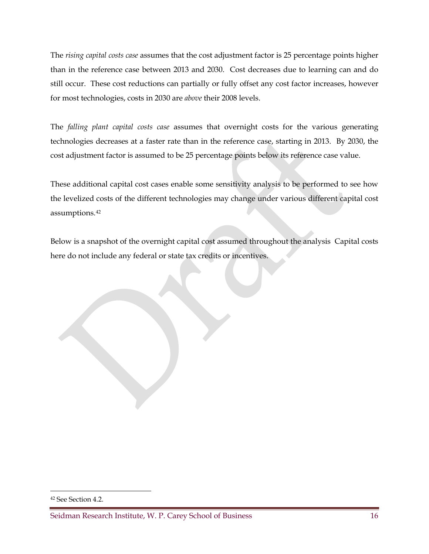The *rising capital costs case* assumes that the cost adjustment factor is 25 percentage points higher than in the reference case between 2013 and 2030. Cost decreases due to learning can and do still occur. These cost reductions can partially or fully offset any cost factor increases, however for most technologies, costs in 2030 are *above* their 2008 levels.

The *falling plant capital costs case* assumes that overnight costs for the various generating technologies decreases at a faster rate than in the reference case, starting in 2013. By 2030, the cost adjustment factor is assumed to be 25 percentage points below its reference case value.

These additional capital cost cases enable some sensitivity analysis to be performed to see how the levelized costs of the different technologies may change under various different capital cost assumptions.[42](#page-26-0)

Below is a snapshot of the overnight capital cost assumed throughout the analysis Capital costs here do not include any federal or state tax credits or incentives.

<span id="page-26-0"></span> <sup>42</sup> See Section 4.2.

Seidman Research Institute, W. P. Carey School of Business 16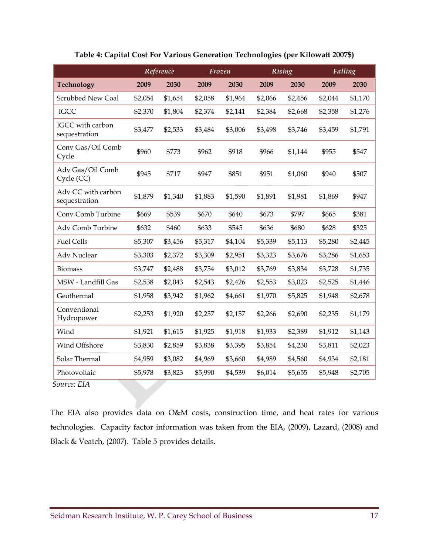|                                     |         | Reference |         | Frozen  | Rising  |         |         | Falling |
|-------------------------------------|---------|-----------|---------|---------|---------|---------|---------|---------|
| Technology                          | 2009    | 2030      | 2009    | 2030    | 2009    | 2030    | 2009    | 2030    |
| Scrubbed New Coal                   | \$2,054 | \$1,654   | \$2,058 | \$1,964 | \$2,066 | \$2,456 | \$2,044 | \$1,170 |
| <b>IGCC</b>                         | \$2,370 | \$1,804   | \$2,374 | \$2,141 | \$2,384 | \$2,668 | \$2,358 | \$1,276 |
| IGCC with carbon<br>sequestration   | \$3,477 | \$2,533   | \$3,484 | \$3,006 | \$3,498 | \$3,746 | \$3,459 | \$1,791 |
| Conv Gas/Oil Comb<br>Cycle          | \$960   | \$773     | \$962   | \$918   | \$966   | \$1,144 | \$955   | \$547   |
| Adv Gas/Oil Comb<br>Cycle (CC)      | \$945   | \$717     | \$947   | \$851   | \$951   | \$1,060 | \$940   | \$507   |
| Adv CC with carbon<br>sequestration | \$1,879 | \$1,340   | \$1,883 | \$1,590 | \$1,891 | \$1,981 | \$1,869 | \$947   |
| Conv Comb Turbine                   | \$669   | \$539     | \$670   | \$640   | \$673   | \$797   | \$665   | \$381   |
| Adv Comb Turbine                    | \$632   | \$460     | \$633   | \$545   | \$636   | \$680   | \$628   | \$325   |
| <b>Fuel Cells</b>                   | \$5,307 | \$3,456   | \$5,317 | \$4,104 | \$5,339 | \$5,113 | \$5,280 | \$2,445 |
| Adv Nuclear                         | \$3,303 | \$2,372   | \$3,309 | \$2,951 | \$3,323 | \$3,676 | \$3,286 | \$1,653 |
| <b>Biomass</b>                      | \$3,747 | \$2,488   | \$3,754 | \$3,012 | \$3,769 | \$3,834 | \$3,728 | \$1,735 |
| MSW - Landfill Gas                  | \$2,538 | \$2,043   | \$2,543 | \$2,426 | \$2,553 | \$3,023 | \$2,525 | \$1,446 |
| Geothermal                          | \$1,958 | \$3,942   | \$1,962 | \$4,661 | \$1,970 | \$5,825 | \$1,948 | \$2,678 |
| Conventional<br>Hydropower          | \$2,253 | \$1,920   | \$2,257 | \$2,157 | \$2,266 | \$2,690 | \$2,235 | \$1,179 |
| Wind                                | \$1,921 | \$1,615   | \$1,925 | \$1,918 | \$1,933 | \$2,389 | \$1,912 | \$1,143 |
| Wind Offshore                       | \$3,830 | \$2,859   | \$3,838 | \$3,395 | \$3,854 | \$4,230 | \$3,811 | \$2,023 |
| Solar Thermal                       | \$4,959 | \$3,082   | \$4,969 | \$3,660 | \$4,989 | \$4,560 | \$4,934 | \$2,181 |
| Photovoltaic                        | \$5,978 | \$3,823   | \$5,990 | \$4,539 | \$6,014 | \$5,655 | \$5,948 | \$2,705 |
| Source: EIA                         |         |           |         |         |         |         |         |         |

**Table 4: Capital Cost For Various Generation Technologies (per Kilowatt 2007\$)**

The EIA also provides data on O&M costs, construction time, and heat rates for various technologies. Capacity factor information was taken from the EIA, (2009), Lazard, (2008) and Black & Veatch, (2007). Table 5 provides details.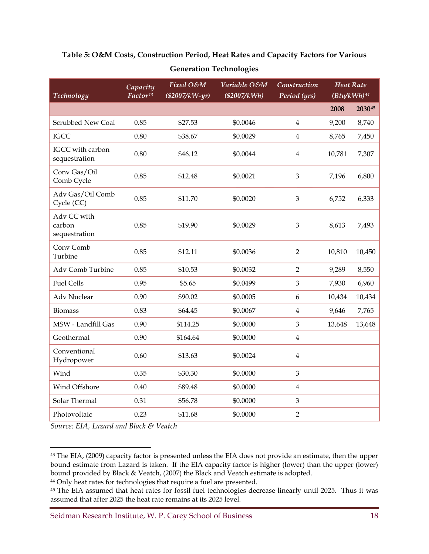## **Table 5: O&M Costs, Construction Period, Heat Rates and Capacity Factors for Various Generation Technologies**

| Technology                             | Capacity<br>Factor <sup>43</sup> | Fixed O&M<br>$($2007/kW-yr)$ | Variable O&M<br>(\$2007/kWh) | Construction<br>Period (yrs) | <b>Heat Rate</b><br>(Btu/kWh) <sup>44</sup> |        |
|----------------------------------------|----------------------------------|------------------------------|------------------------------|------------------------------|---------------------------------------------|--------|
|                                        |                                  |                              |                              |                              | 2008                                        | 203045 |
| Scrubbed New Coal                      | 0.85                             | \$27.53                      | \$0.0046                     | $\overline{\mathbf{4}}$      | 9,200                                       | 8,740  |
| <b>IGCC</b>                            | 0.80                             | \$38.67                      | \$0.0029                     | $\overline{4}$               | 8,765                                       | 7,450  |
| IGCC with carbon<br>sequestration      | 0.80                             | \$46.12                      | \$0.0044                     | $\overline{4}$               | 10,781                                      | 7,307  |
| Conv Gas/Oil<br>Comb Cycle             | 0.85                             | \$12.48                      | \$0.0021                     | 3                            | 7,196                                       | 6,800  |
| Adv Gas/Oil Comb<br>Cycle (CC)         | 0.85                             | \$11.70                      | \$0.0020                     | $\mathfrak{B}$               | 6,752                                       | 6,333  |
| Adv CC with<br>carbon<br>sequestration | 0.85                             | \$19.90                      | \$0.0029                     | $\mathfrak{B}$               | 8,613                                       | 7,493  |
| Conv Comb<br>Turbine                   | 0.85                             | \$12.11                      | \$0.0036                     | $\overline{2}$               | 10,810                                      | 10,450 |
| Adv Comb Turbine                       | 0.85                             | \$10.53                      | \$0.0032                     | $\overline{2}$               | 9,289                                       | 8,550  |
| <b>Fuel Cells</b>                      | 0.95                             | \$5.65                       | \$0.0499                     | $\mathfrak{B}$               | 7,930                                       | 6,960  |
| <b>Adv Nuclear</b>                     | 0.90                             | \$90.02                      | \$0.0005                     | 6                            | 10,434                                      | 10,434 |
| <b>Biomass</b>                         | 0.83                             | \$64.45                      | \$0.0067                     | $\overline{4}$               | 9,646                                       | 7,765  |
| MSW - Landfill Gas                     | 0.90                             | \$114.25                     | \$0.0000                     | 3                            | 13,648                                      | 13,648 |
| Geothermal                             | 0.90                             | \$164.64                     | \$0.0000                     | $\overline{4}$               |                                             |        |
| Conventional<br>Hydropower             | 0.60                             | \$13.63                      | \$0.0024                     | $\overline{4}$               |                                             |        |
| Wind                                   | 0.35                             | \$30.30                      | \$0.0000                     | 3                            |                                             |        |
| Wind Offshore                          | 0.40                             | \$89.48                      | \$0.0000                     | $\overline{4}$               |                                             |        |
| Solar Thermal                          | 0.31                             | \$56.78                      | \$0.0000                     | 3                            |                                             |        |
| Photovoltaic                           | 0.23                             | \$11.68                      | \$0.0000                     | $\overline{2}$               |                                             |        |

*Source: EIA, Lazard and Black & Veatch*

<span id="page-28-0"></span><sup>&</sup>lt;sup>43</sup> The EIA, (2009) capacity factor is presented unless the EIA does not provide an estimate, then the upper bound estimate from Lazard is taken. If the EIA capacity factor is higher (lower) than the upper (lower) bound provided by Black & Veatch, (2007) the Black and Veatch estimate is adopted.

<span id="page-28-1"></span><sup>&</sup>lt;sup>44</sup> Only heat rates for technologies that require a fuel are presented.

<span id="page-28-2"></span><sup>45</sup> The EIA assumed that heat rates for fossil fuel technologies decrease linearly until 2025. Thus it was assumed that after 2025 the heat rate remains at its 2025 level.

Seidman Research Institute, W. P. Carey School of Business 18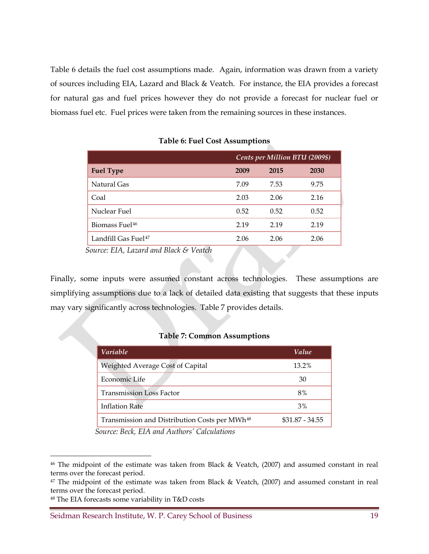Table 6 details the fuel cost assumptions made. Again, information was drawn from a variety of sources including EIA, Lazard and Black & Veatch. For instance, the EIA provides a forecast for natural gas and fuel prices however they do not provide a forecast for nuclear fuel or biomass fuel etc. Fuel prices were taken from the remaining sources in these instances.

|                                      | Cents per Million BTU (2009\$) |      |      |  |
|--------------------------------------|--------------------------------|------|------|--|
| <b>Fuel Type</b>                     | 2009                           | 2015 | 2030 |  |
| Natural Gas                          | 7.09                           | 7.53 | 9.75 |  |
| Coal                                 | 2.03                           | 2.06 | 2.16 |  |
| Nuclear Fuel                         | 0.52                           | 0.52 | 0.52 |  |
| Biomass Fuel <sup>46</sup>           | 2.19                           | 2.19 | 2.19 |  |
| Landfill Gas Fuel <sup>47</sup><br>. | 2.06                           | 2.06 | 2.06 |  |

**Table 6: Fuel Cost Assumptions**

*Source: EIA, Lazard and Black & Veatch*

Finally, some inputs were assumed constant across technologies. These assumptions are simplifying assumptions due to a lack of detailed data existing that suggests that these inputs may vary significantly across technologies. Table 7 provides details.

#### **Table 7: Common Assumptions**

| Variable <sup>'</sup>                                     | Value            |
|-----------------------------------------------------------|------------------|
| Weighted Average Cost of Capital                          | 13.2%            |
| Economic Life                                             | 30               |
| <b>Transmission Loss Factor</b>                           | 8%               |
| <b>Inflation Rate</b>                                     | 3%               |
| Transmission and Distribution Costs per MWh <sup>48</sup> | $$31.87 - 34.55$ |
|                                                           |                  |

*Source: Beck, EIA and Authors' Calculations*

<span id="page-29-2"></span><sup>48</sup> The EIA forecasts some variability in T&D costs

Seidman Research Institute, W. P. Carey School of Business 19

<span id="page-29-0"></span> <sup>46</sup> The midpoint of the estimate was taken from Black & Veatch, (2007) and assumed constant in real terms over the forecast period.

<span id="page-29-1"></span> $47$  The midpoint of the estimate was taken from Black & Veatch, (2007) and assumed constant in real terms over the forecast period.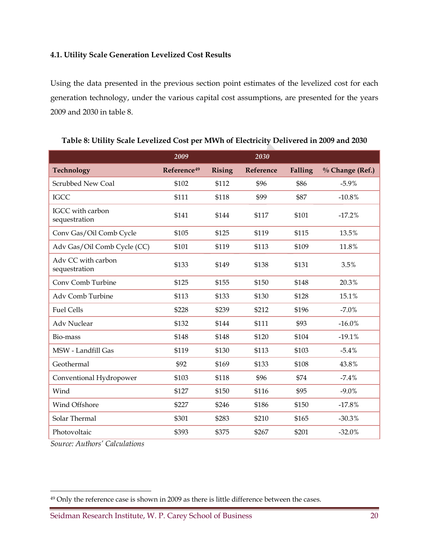#### **4.1. Utility Scale Generation Levelized Cost Results**

Using the data presented in the previous section point estimates of the levelized cost for each generation technology, under the various capital cost assumptions, are presented for the years 2009 and 2030 in table 8.

|                                     | 2009                    |               | 2030      |         |                 |
|-------------------------------------|-------------------------|---------------|-----------|---------|-----------------|
| Technology                          | Reference <sup>49</sup> | <b>Rising</b> | Reference | Falling | % Change (Ref.) |
| Scrubbed New Coal                   | \$102                   | \$112         | \$96      | \$86    | $-5.9%$         |
| <b>IGCC</b>                         | \$111                   | \$118         | \$99      | \$87    | $-10.8%$        |
| IGCC with carbon<br>sequestration   | \$141                   | \$144         | \$117     | \$101   | $-17.2%$        |
| Conv Gas/Oil Comb Cycle             | \$105                   | \$125         | \$119     | \$115   | 13.5%           |
| Adv Gas/Oil Comb Cycle (CC)         | \$101                   | \$119         | \$113     | \$109   | 11.8%           |
| Ady CC with carbon<br>sequestration | \$133                   | \$149         | \$138     | \$131   | 3.5%            |
| Conv Comb Turbine                   | \$125                   | \$155         | \$150     | \$148   | 20.3%           |
| Adv Comb Turbine                    | \$113                   | \$133         | \$130     | \$128   | 15.1%           |
| <b>Fuel Cells</b>                   | \$228                   | \$239         | \$212     | \$196   | $-7.0%$         |
| <b>Adv Nuclear</b>                  | \$132                   | \$144         | \$111     | \$93    | $-16.0%$        |
| Bio-mass                            | \$148                   | \$148         | \$120     | \$104   | $-19.1%$        |
| MSW - Landfill Gas                  | \$119                   | \$130         | \$113     | \$103   | $-5.4%$         |
| Geothermal                          | \$92                    | \$169         | \$133     | \$108   | 43.8%           |
| Conventional Hydropower             | \$103                   | \$118         | \$96      | \$74    | $-7.4%$         |
| Wind                                | \$127                   | \$150         | \$116     | \$95    | $-9.0\%$        |
| Wind Offshore                       | \$227                   | \$246         | \$186     | \$150   | $-17.8%$        |
| Solar Thermal                       | \$301                   | \$283         | \$210     | \$165   | $-30.3%$        |
| Photovoltaic                        | \$393                   | \$375         | \$267     | \$201   | $-32.0%$        |

#### **Table 8: Utility Scale Levelized Cost per MWh of Electricity Delivered in 2009 and 2030**

*Source: Authors' Calculations*

<span id="page-30-0"></span><sup>&</sup>lt;sup>49</sup> Only the reference case is shown in 2009 as there is little difference between the cases.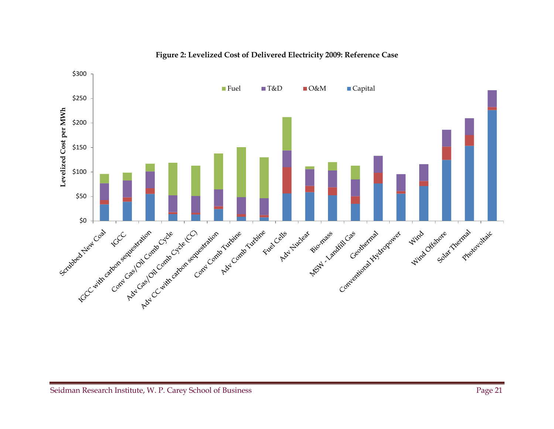<span id="page-31-0"></span>

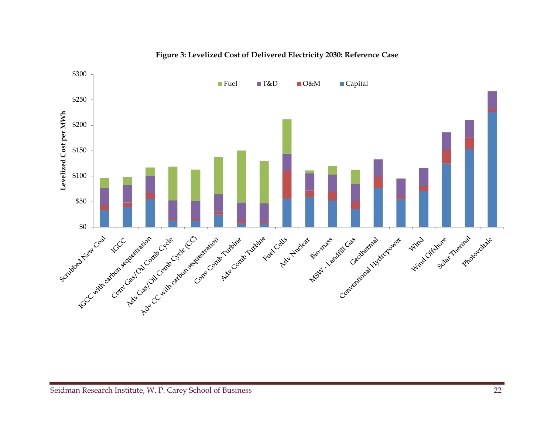<span id="page-32-0"></span>

#### **Figure 3: Levelized Cost of Delivered Electricity 2030: Reference Case**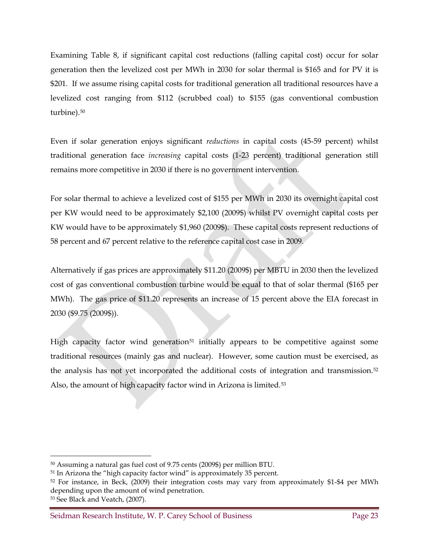Examining Table 8, if significant capital cost reductions (falling capital cost) occur for solar generation then the levelized cost per MWh in 2030 for solar thermal is \$165 and for PV it is \$201. If we assume rising capital costs for traditional generation all traditional resources have a levelized cost ranging from \$112 (scrubbed coal) to \$155 (gas conventional combustion turbine).<sup>50</sup>

Even if solar generation enjoys significant *reductions* in capital costs (45-59 percent) whilst traditional generation face *increasing* capital costs (1-23 percent) traditional generation still remains more competitive in 2030 if there is no government intervention.

For solar thermal to achieve a levelized cost of \$155 per MWh in 2030 its overnight capital cost per KW would need to be approximately \$2,100 (2009\$) whilst PV overnight capital costs per KW would have to be approximately \$1,960 (2009\$). These capital costs represent reductions of 58 percent and 67 percent relative to the reference capital cost case in 2009.

Alternatively if gas prices are approximately \$11.20 (2009\$) per MBTU in 2030 then the levelized cost of gas conventional combustion turbine would be equal to that of solar thermal (\$165 per MWh). The gas price of \$11.20 represents an increase of 15 percent above the EIA forecast in 2030 (\$9.75 (2009\$)).

High capacity factor wind generation<sup>[51](#page-33-1)</sup> initially appears to be competitive against some traditional resources (mainly gas and nuclear). However, some caution must be exercised, as the analysis has not yet incorporated the additional costs of integration and transmission.[52](#page-33-2) Also, the amount of high capacity factor wind in Arizona is limited.[53](#page-33-3)

<span id="page-33-0"></span> <sup>50</sup> Assuming a natural gas fuel cost of 9.75 cents (2009\$) per million BTU.

<span id="page-33-1"></span><sup>&</sup>lt;sup>51</sup> In Arizona the "high capacity factor wind" is approximately 35 percent.

<span id="page-33-2"></span><sup>52</sup> For instance, in Beck, (2009) their integration costs may vary from approximately \$1-\$4 per MWh depending upon the amount of wind penetration.

<span id="page-33-3"></span><sup>53</sup> See Black and Veatch, (2007).

Seidman Research Institute, W. P. Carey School of Business Page 23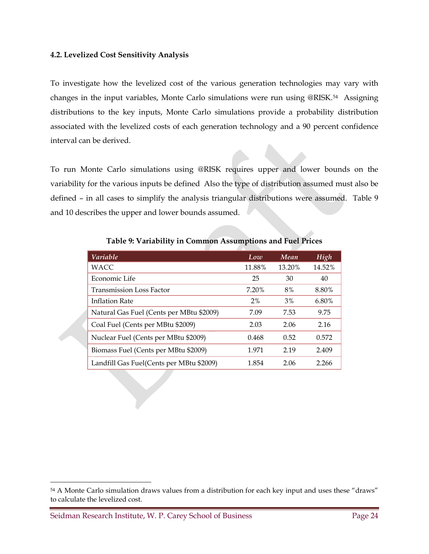#### **4.2. Levelized Cost Sensitivity Analysis**

To investigate how the levelized cost of the various generation technologies may vary with changes in the input variables, Monte Carlo simulations were run using @RISK.[54](#page-34-0) Assigning distributions to the key inputs, Monte Carlo simulations provide a probability distribution associated with the levelized costs of each generation technology and a 90 percent confidence interval can be derived.

To run Monte Carlo simulations using @RISK requires upper and lower bounds on the variability for the various inputs be defined Also the type of distribution assumed must also be defined – in all cases to simplify the analysis triangular distributions were assumed. Table 9 and 10 describes the upper and lower bounds assumed.

| Variable                                 | Low    | Mean   | High   |
|------------------------------------------|--------|--------|--------|
| <b>WACC</b>                              | 11.88% | 13.20% | 14.52% |
| Economic Life                            | 25     | 30     | 40     |
| <b>Transmission Loss Factor</b>          | 7.20%  | 8%     | 8.80%  |
| <b>Inflation Rate</b>                    | $2\%$  | 3%     | 6.80%  |
| Natural Gas Fuel (Cents per MBtu \$2009) | 7.09   | 7.53   | 9.75   |
| Coal Fuel (Cents per MBtu \$2009)        | 2.03   | 2.06   | 2.16   |
| Nuclear Fuel (Cents per MBtu \$2009)     | 0.468  | 0.52   | 0.572  |
| Biomass Fuel (Cents per MBtu \$2009)     | 1.971  | 2.19   | 2.409  |
| Landfill Gas Fuel(Cents per MBtu \$2009) | 1.854  | 2.06   | 2.266  |

**Table 9: Variability in Common Assumptions and Fuel Prices**

<span id="page-34-0"></span><sup>54</sup> A Monte Carlo simulation draws values from a distribution for each key input and uses these "draws" to calculate the levelized cost.

Seidman Research Institute, W. P. Carey School of Business Page 24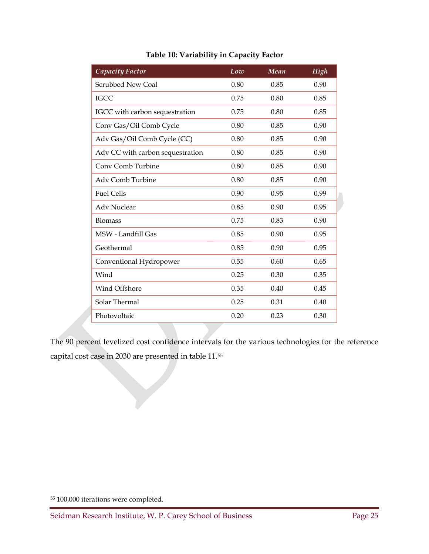| <b>Capacity Factor</b>           | Low  | Mean | High |
|----------------------------------|------|------|------|
| Scrubbed New Coal                | 0.80 | 0.85 | 0.90 |
| <b>IGCC</b>                      | 0.75 | 0.80 | 0.85 |
| IGCC with carbon sequestration   | 0.75 | 0.80 | 0.85 |
| Conv Gas/Oil Comb Cycle          | 0.80 | 0.85 | 0.90 |
| Adv Gas/Oil Comb Cycle (CC)      | 0.80 | 0.85 | 0.90 |
| Adv CC with carbon sequestration | 0.80 | 0.85 | 0.90 |
| Conv Comb Turbine                | 0.80 | 0.85 | 0.90 |
| Adv Comb Turbine                 | 0.80 | 0.85 | 0.90 |
| <b>Fuel Cells</b>                | 0.90 | 0.95 | 0.99 |
| <b>Adv Nuclear</b>               | 0.85 | 0.90 | 0.95 |
| <b>Biomass</b>                   | 0.75 | 0.83 | 0.90 |
| MSW - Landfill Gas               | 0.85 | 0.90 | 0.95 |
| Geothermal                       | 0.85 | 0.90 | 0.95 |
| Conventional Hydropower          | 0.55 | 0.60 | 0.65 |
| Wind                             | 0.25 | 0.30 | 0.35 |
| Wind Offshore                    | 0.35 | 0.40 | 0.45 |
| Solar Thermal                    | 0.25 | 0.31 | 0.40 |
| Photovoltaic                     | 0.20 | 0.23 | 0.30 |

### **Table 10: Variability in Capacity Factor**

The 90 percent levelized cost confidence intervals for the various technologies for the reference capital cost case in 2030 are presented in table 11.[55](#page-35-0)

<span id="page-35-0"></span> <sup>55</sup> 100,000 iterations were completed.

Seidman Research Institute, W. P. Carey School of Business Page 25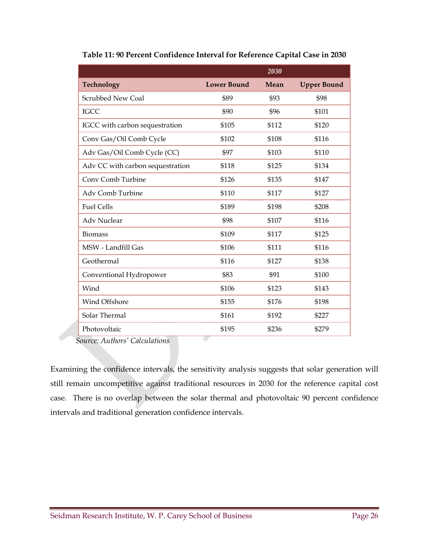|                                  |                    | 2030  |                    |
|----------------------------------|--------------------|-------|--------------------|
| <b>Technology</b>                | <b>Lower Bound</b> | Mean  | <b>Upper Bound</b> |
| <b>Scrubbed New Coal</b>         | \$89               | \$93  | \$98               |
| <b>IGCC</b>                      | \$90               | \$96  | \$101              |
| IGCC with carbon sequestration   | \$105              | \$112 | \$120              |
| Conv Gas/Oil Comb Cycle          | \$102              | \$108 | \$116              |
| Adv Gas/Oil Comb Cycle (CC)      | \$97               | \$103 | \$110              |
| Adv CC with carbon sequestration | \$118              | \$125 | \$134              |
| Conv Comb Turbine                | \$126              | \$135 | \$147              |
| Adv Comb Turbine                 | \$110              | \$117 | \$127              |
| <b>Fuel Cells</b>                | \$189              | \$198 | \$208              |
| <b>Adv Nuclear</b>               | \$98               | \$107 | \$116              |
| <b>Biomass</b>                   | \$109              | \$117 | \$125              |
| MSW - Landfill Gas               | \$106              | \$111 | \$116              |
| Geothermal                       | \$116              | \$127 | \$138              |
| Conventional Hydropower          | \$83               | \$91  | \$100              |
| Wind                             | \$106              | \$123 | \$143              |
| Wind Offshore                    | \$155              | \$176 | \$198              |
| Solar Thermal                    | \$161              | \$192 | \$227              |
| Photovoltaic                     | \$195              | \$236 | \$279              |
| Cource: Authore' Calculatione    |                    |       |                    |

**Table 11: 90 Percent Confidence Interval for Reference Capital Case in 2030**

*Source: Authors' Calculations*

Examining the confidence intervals, the sensitivity analysis suggests that solar generation will still remain uncompetitive against traditional resources in 2030 for the reference capital cost case. There is no overlap between the solar thermal and photovoltaic 90 percent confidence intervals and traditional generation confidence intervals.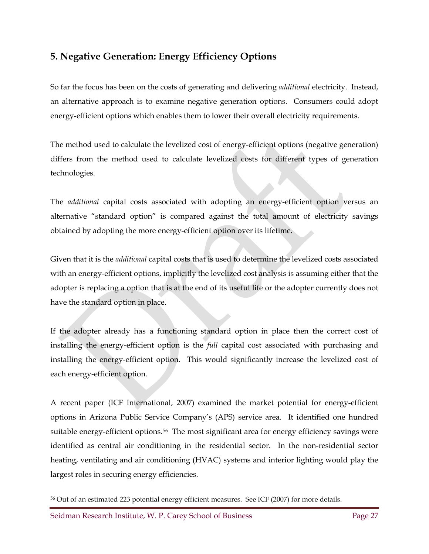## **5. Negative Generation: Energy Efficiency Options**

So far the focus has been on the costs of generating and delivering *additional* electricity. Instead, an alternative approach is to examine negative generation options. Consumers could adopt energy-efficient options which enables them to lower their overall electricity requirements.

The method used to calculate the levelized cost of energy-efficient options (negative generation) differs from the method used to calculate levelized costs for different types of generation technologies.

The *additional* capital costs associated with adopting an energy-efficient option versus an alternative "standard option" is compared against the total amount of electricity savings obtained by adopting the more energy-efficient option over its lifetime.

Given that it is the *additional* capital costs that is used to determine the levelized costs associated with an energy-efficient options, implicitly the levelized cost analysis is assuming either that the adopter is replacing a option that is at the end of its useful life or the adopter currently does not have the standard option in place.

If the adopter already has a functioning standard option in place then the correct cost of installing the energy-efficient option is the *full* capital cost associated with purchasing and installing the energy-efficient option. This would significantly increase the levelized cost of each energy-efficient option.

A recent paper (ICF International, 2007) examined the market potential for energy-efficient options in Arizona Public Service Company's (APS) service area. It identified one hundred suitable energy-efficient options.<sup>[56](#page-37-0)</sup> The most significant area for energy efficiency savings were identified as central air conditioning in the residential sector. In the non-residential sector heating, ventilating and air conditioning (HVAC) systems and interior lighting would play the largest roles in securing energy efficiencies.

<span id="page-37-0"></span> <sup>56</sup> Out of an estimated 223 potential energy efficient measures. See ICF (2007) for more details.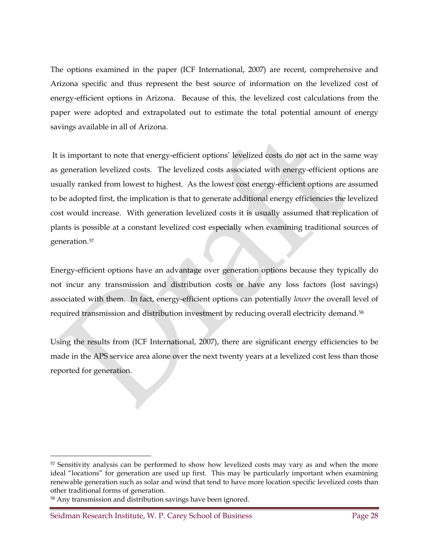The options examined in the paper (ICF International, 2007) are recent, comprehensive and Arizona specific and thus represent the best source of information on the levelized cost of energy-efficient options in Arizona. Because of this, the levelized cost calculations from the paper were adopted and extrapolated out to estimate the total potential amount of energy savings available in all of Arizona.

It is important to note that energy-efficient options' levelized costs do not act in the same way as generation levelized costs. The levelized costs associated with energy-efficient options are usually ranked from lowest to highest. As the lowest cost energy-efficient options are assumed to be adopted first, the implication is that to generate additional energy efficiencies the levelized cost would increase. With generation levelized costs it is usually assumed that replication of plants is possible at a constant levelized cost especially when examining traditional sources of generation.[57](#page-38-0)

Energy-efficient options have an advantage over generation options because they typically do not incur any transmission and distribution costs or have any loss factors (lost savings) associated with them. In fact, energy-efficient options can potentially *lower* the overall level of required transmission and distribution investment by reducing overall electricity demand.[58](#page-38-1)

Using the results from (ICF International, 2007), there are significant energy efficiencies to be made in the APS service area alone over the next twenty years at a levelized cost less than those reported for generation.

<span id="page-38-0"></span><sup>&</sup>lt;sup>57</sup> Sensitivity analysis can be performed to show how levelized costs may vary as and when the more ideal "locations" for generation are used up first. This may be particularly important when examining renewable generation such as solar and wind that tend to have more location specific levelized costs than other traditional forms of generation.

<span id="page-38-1"></span><sup>58</sup> Any transmission and distribution savings have been ignored.

Seidman Research Institute, W. P. Carey School of Business Page 28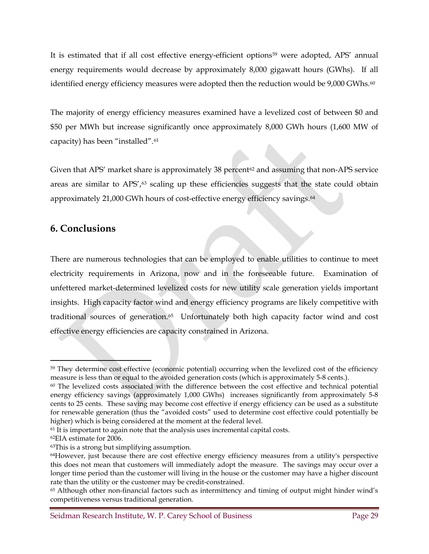It is estimated that if all cost effective energy-efficient options<sup>[59](#page-39-0)</sup> were adopted, APS' annual energy requirements would decrease by approximately 8,000 gigawatt hours (GWhs). If all identified energy efficiency measures were adopted then the reduction would be 9,000 GWhs.<sup>[60](#page-39-1)</sup>

The majority of energy efficiency measures examined have a levelized cost of between \$0 and \$50 per MWh but increase significantly once approximately 8,000 GWh hours (1,600 MW of capacity) has been "installed".[61](#page-39-2)

Given that APS' market share is approximately 38 percent<sup>[62](#page-39-3)</sup> and assuming that non-APS service areas are similar to APS',<sup>[63](#page-39-4)</sup> scaling up these efficiencies suggests that the state could obtain approximately 21,000 GWh hours of cost-effective energy efficiency savings.<sup>[64](#page-39-5)</sup>

## **6. Conclusions**

There are numerous technologies that can be employed to enable utilities to continue to meet electricity requirements in Arizona, now and in the foreseeable future. Examination of unfettered market-determined levelized costs for new utility scale generation yields important insights. High capacity factor wind and energy efficiency programs are likely competitive with traditional sources of generation.<sup>65</sup> Unfortunately both high capacity factor wind and cost effective energy efficiencies are capacity constrained in Arizona.

<span id="page-39-0"></span> <sup>59</sup> They determine cost effective (economic potential) occurring when the levelized cost of the efficiency measure is less than or equal to the avoided generation costs (which is approximately 5-8 cents.).

<span id="page-39-1"></span> $60$  The levelized costs associated with the difference between the cost effective and technical potential energy efficiency savings (approximately 1,000 GWhs) increases significantly from approximately 5-8 cents to 25 cents. These saving may become cost effective if energy efficiency can be used as a substitute for renewable generation (thus the "avoided costs" used to determine cost effective could potentially be higher) which is being considered at the moment at the federal level.

<span id="page-39-2"></span><sup>&</sup>lt;sup>61</sup> It is important to again note that the analysis uses incremental capital costs.

<span id="page-39-3"></span><sup>62</sup>EIA estimate for 2006.

<span id="page-39-4"></span><sup>&</sup>lt;sup>63</sup>This is a strong but simplifying assumption.

<span id="page-39-5"></span><sup>64</sup>However, just because there are cost effective energy efficiency measures from a utility's perspective this does not mean that customers will immediately adopt the measure. The savings may occur over a longer time period than the customer will living in the house or the customer may have a higher discount rate than the utility or the customer may be credit-constrained.

<span id="page-39-6"></span><sup>65</sup> Although other non-financial factors such as intermittency and timing of output might hinder wind's competitiveness versus traditional generation.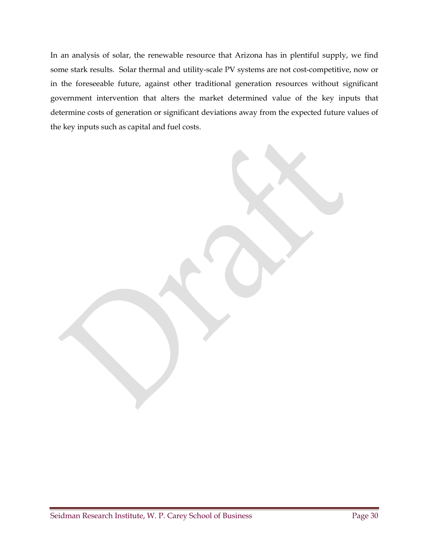In an analysis of solar, the renewable resource that Arizona has in plentiful supply, we find some stark results. Solar thermal and utility-scale PV systems are not cost-competitive, now or in the foreseeable future, against other traditional generation resources without significant government intervention that alters the market determined value of the key inputs that determine costs of generation or significant deviations away from the expected future values of the key inputs such as capital and fuel costs.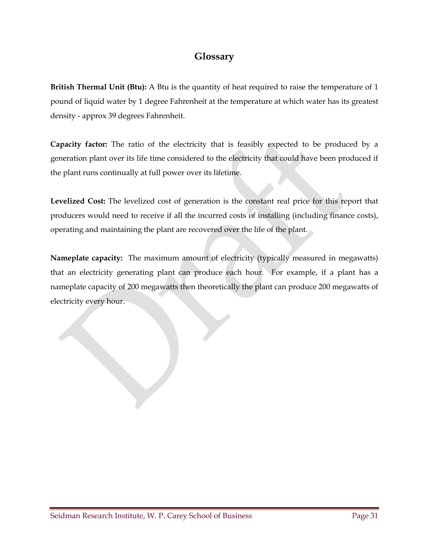## **Glossary**

**British Thermal Unit (Btu):** A Btu is the quantity of heat required to raise the temperature of 1 pound of liquid water by 1 degree Fahrenheit at the temperature at which water has its greatest density - approx 39 degrees Fahrenheit.

**Capacity factor:** The ratio of the electricity that is feasibly expected to be produced by a generation plant over its life time considered to the electricity that could have been produced if the plant runs continually at full power over its lifetime.

**Levelized Cost:** The levelized cost of generation is the constant real price for this report that producers would need to receive if all the incurred costs of installing (including finance costs), operating and maintaining the plant are recovered over the life of the plant.

**Nameplate capacity:** The maximum amount of electricity (typically measured in megawatts) that an electricity generating plant can produce each hour. For example, if a plant has a nameplate capacity of 200 megawatts then theoretically the plant can produce 200 megawatts of electricity every hour.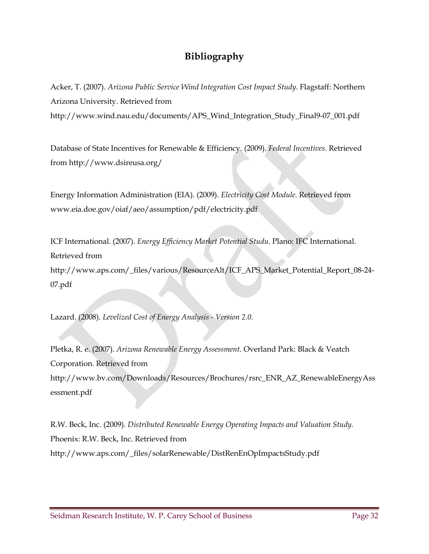## **Bibliography**

Acker, T. (2007). *Arizona Public Service Wind Integration Cost Impact Study.* Flagstaff: Northern Arizona University. Retrieved from

http://www.wind.nau.edu/documents/APS\_Wind\_Integration\_Study\_Final9-07\_001.pdf

Database of State Incentives for Renewable & Efficiency. (2009). *Federal Incentives*. Retrieved from<http://www.dsireusa.org/>

Energy Information Administration (EIA). (2009). *Electricity Cost Module.* Retrieved from [www.eia.doe.gov/oiaf/aeo/assumption/pdf/electricity.pdf](http://www.eia.doe.gov/oiaf/aeo/assumption/pdf/electricity.pdf)

ICF International. (2007). *Energy Efficiency Market Potential Studu.* Plano: IFC International. Retrieved from [http://www.aps.com/\\_files/various/ResourceAlt/ICF\\_APS\\_Market\\_Potential\\_Report\\_08-24-](http://www.aps.com/_files/various/ResourceAlt/ICF_APS_Market_Potential_Report_08-24-07.pdf) [07.pdf](http://www.aps.com/_files/various/ResourceAlt/ICF_APS_Market_Potential_Report_08-24-07.pdf)

Lazard. (2008). *Levelized Cost of Energy Analysis - Version 2.0.*

Pletka, R. e. (2007). *Arizona Renewable Energy Assessment.* Overland Park: Black & Veatch Corporation. Retrieved from [http://www.bv.com/Downloads/Resources/Brochures/rsrc\\_ENR\\_AZ\\_RenewableEnergyAss](http://www.bv.com/Downloads/Resources/Brochures/rsrc_ENR_AZ_RenewableEnergyAssessment.pdf) [essment.pdf](http://www.bv.com/Downloads/Resources/Brochures/rsrc_ENR_AZ_RenewableEnergyAssessment.pdf)

R.W. Beck, Inc. (2009). *Distributed Renewable Energy Operating Impacts and Valuation Study.* Phoenix: R.W. Beck, Inc. Retrieved from [http://www.aps.com/\\_files/solarRenewable/DistRenEnOpImpactsStudy.pdf](http://www.aps.com/_files/solarRenewable/DistRenEnOpImpactsStudy.pdf)